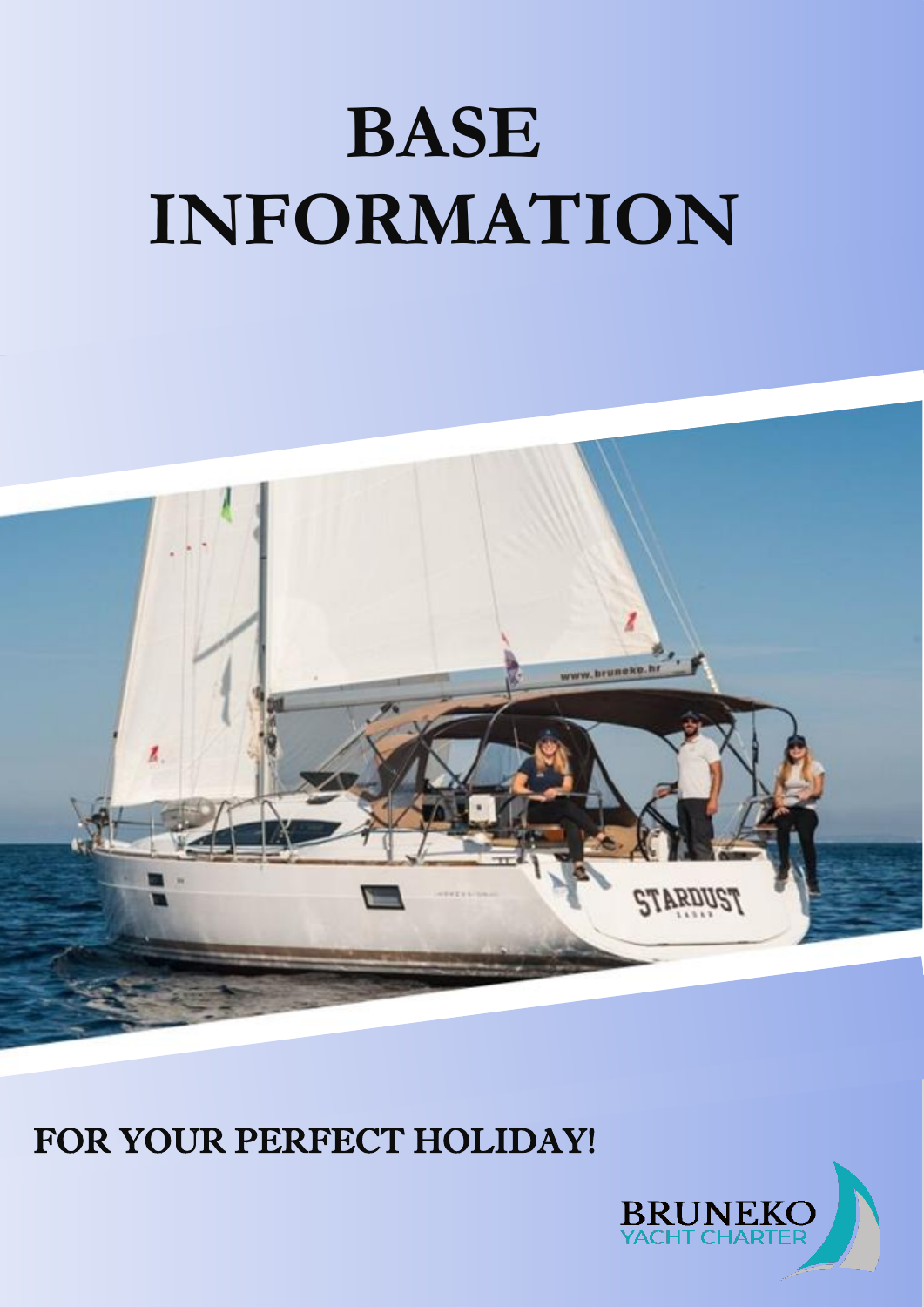# **BASE INFORMATION**



# FOR YOUR PERFECT HOLIDAY!

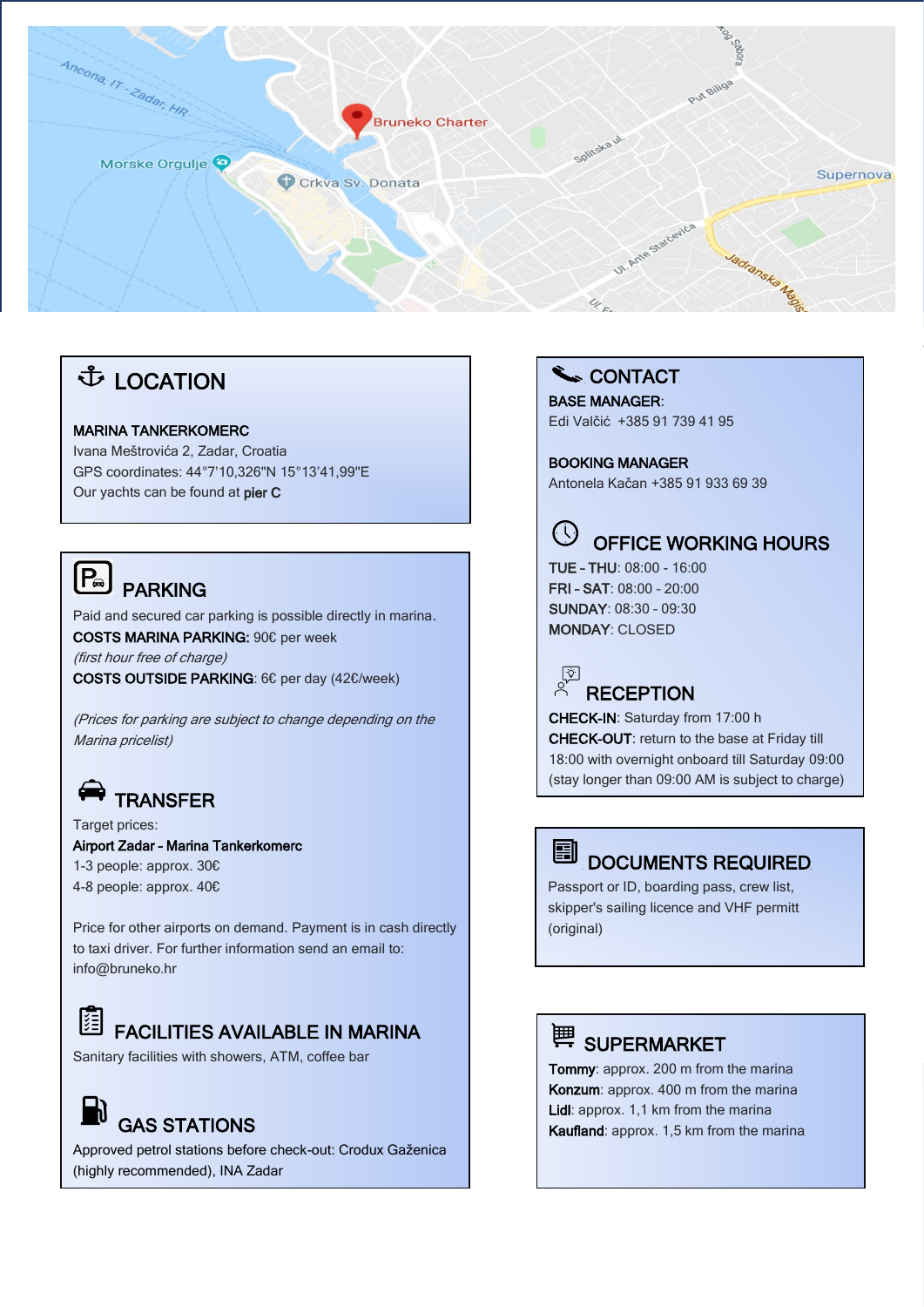

#### **↓ LOCATION**

#### MARINA TANKERKOMERC

Ivana Meštrovića 2, Zadar, Croatia GPS coordinates: 44°7'10,326''N 15°13'41,99''E Our yachts can be found at pier C

#### $[P_{\scriptscriptstyle{\Theta}}]$ PARKING

Paid and secured car parking is possible directly in marina. COSTS MARINA PARKING: 90€ per week (first hour free of charge) COSTS OUTSIDE PARKING: 6€ per day (42€/week)

(Prices for parking are subject to change depending on the Marina pricelist)

## **TRANSFER**

Target prices: Airport Zadar – Marina Tankerkomerc 1-3 people: approx. 30€ 4-8 people: approx. 40€

Price for other airports on demand. Payment is in cash directly to taxi driver. For further information send an email to: info@bruneko.hr

#### 隕 FACILITIES AVAILABLE IN MARINA

Sanitary facilities with showers, ATM, coffee bar

# GAS STATIONS

İ

Approved petrol stations before check-out: Crodux Gaženica (highly recommended), INA Zadar

#### CONTACT

BASE MANAGER: Edi Valčić +385 91 739 41 95

BOOKING MANAGER Antonela Kačan +385 91 933 69 39



#### OFFICE WORKING HOURS

TUE – THU: 08:00 - 16:00 FRI – SAT: 08:00 – 20:00 SUNDAY: 08:30 – 09:30 MONDAY: CLOSED



CHECK-IN: Saturday from 17:00 h CHECK-OUT: return to the base at Friday till 18:00 with overnight onboard till Saturday 09:00 (stay longer than 09:00 AM is subject to charge)



#### DOCUMENTS REQUIRED

Passport or ID, boarding pass, crew list, skipper's sailing licence and VHF permitt (original)

## **博 SUPERMARKET**

Tommy: approx. 200 m from the marina Konzum: approx. 400 m from the marina Lidl: approx. 1,1 km from the marina Kaufland: approx. 1,5 km from the marina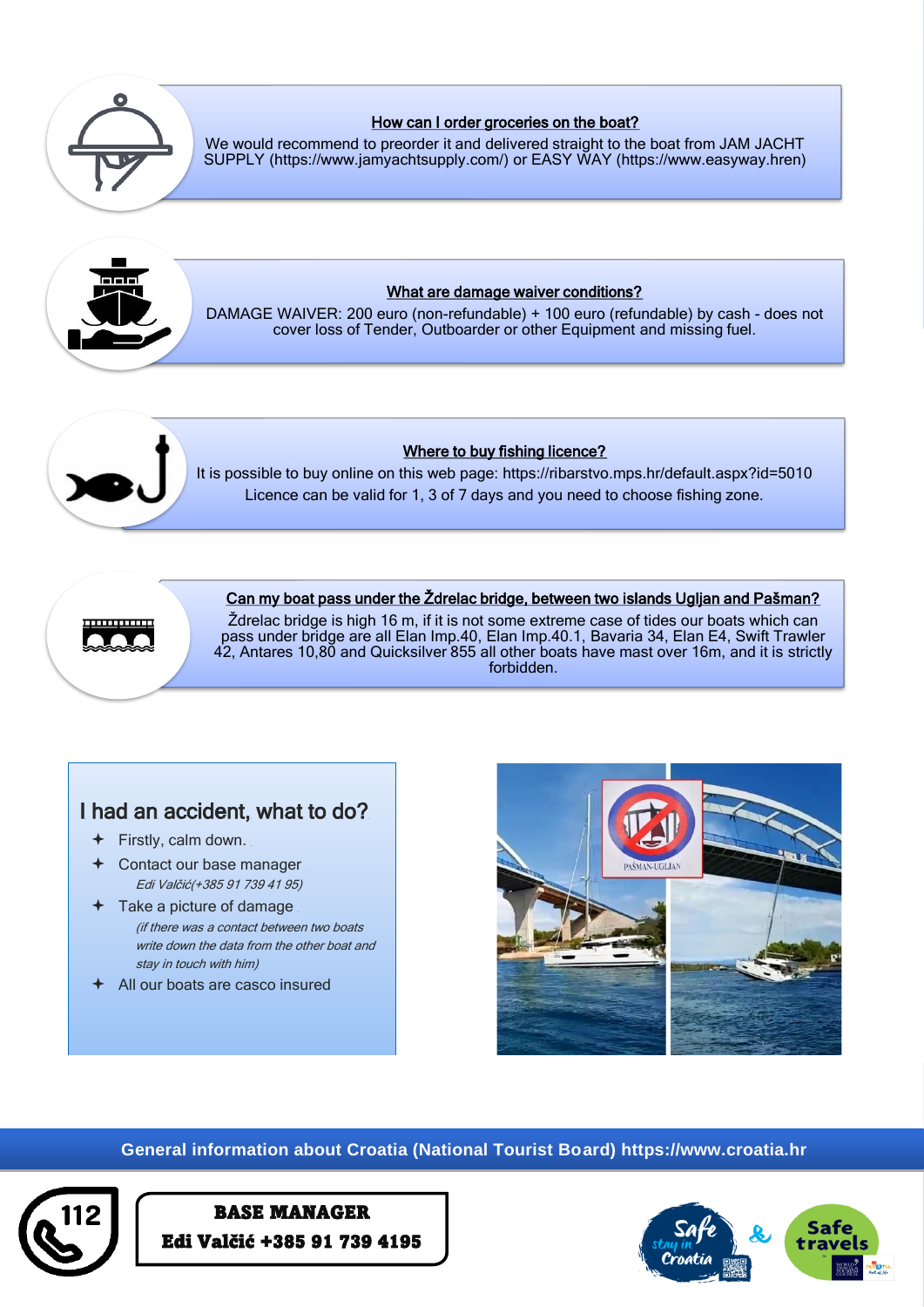

#### How can I order groceries on the boat?

[We would recommend to preorder it and delivered straight to the boat from JAM JACHT](mailto:https://www.jamyachtsupply.com/)  SUPPLY (https://www.jamyachtsupply.com/) or EASY WAY (https://www.easyway.hren)



#### What are damage waiver conditions?

DAMAGE WAIVER: 200 euro (non-refundable) + 100 euro (refundable) by cash - does not cover loss of Tender, Outboarder or other Equipment and missing fuel.



#### Where to buy fishing licence?

[It is possible to buy online on this web page: https://ribarstvo.mps.hr/default.aspx?id=5010](https://ribarstvo.mps.hr/default.aspx?id=5010) Licence can be valid for 1, 3 of 7 days and you need to choose fishing zone.



#### Can my boat pass under the Ždrelac bridge, between two islands Ugljan and Pašman?

Ždrelac bridge is high 16 m, if it is not some extreme case of tides our boats which can pass under bridge are all Elan Imp.40, Elan Imp.40.1, Bavaria 34, Elan E4, Swift Trawler 42, Antares 10,80 and Quicksilver 855 all other boats have mast over 16m, and it is strictly forbidden.

#### I had an accident, what to do?

- Firstly, calm down.
- Contact our base manager Edi Valčić(+385 91 739 41 95)
- Take a picture of damage (if there was a contact between two boats write down the data from the other boat and stay in touch with him)
- All our boats are casco insured



### General information about Croatia (National Tourist Board) https://www.croatia.hr



#### BASE MANAGER Edi Valčić +385 91 739 4195